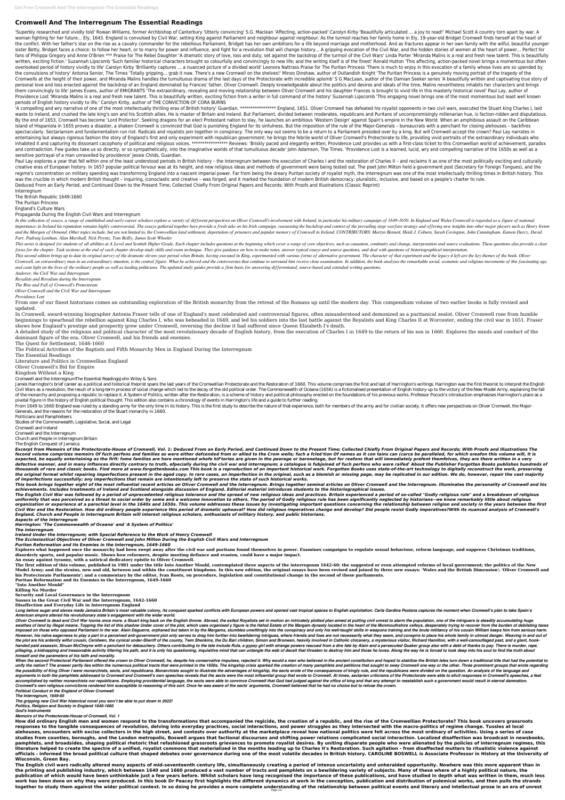# **Cromwell And The Interregnum The Essential Readings**

'Superbly researched and vividly told' Rowan Williams, former Archbishop of Canterbury 'Utterly convincing' S.G. Maclean 'Affecting, action-packed' Carolyn Kirby 'Beautifully articulated ... a joy to read!' Michael Scott A woman fighting for her future... Elv. 1643. England is convulsed by Civil War. setting King against Parliament and neighbour against neighbour. As the turmoil reaches her family home in Elv. 19-vear-old Bridget Cromwell fi the conflict. With her father's star on the rise as a cavalry commander for the rebellious Parliament, Bridget has her own ambitions for a life beyond marriage and motherhood. And as fractures appear in her own family with sister Betty, Bridget faces a choice: to follow her heart, or to marry for power and influence, and fight for a revolution that will change history... A gripping evocation of the Civil War, and the hidden stories of women fans of Philippa Gregory and Anne O'Brien \*\*\* Praise for The Rebel Daughter 'A dramatic story of love, loss and duty, set against the backdrop of the turmoil of the Civil Wars' Linda Porter 'Miranda Malins is a real and fr written, exciting fiction.' Suzannah Lipscomb 'Such familiar historical characters brought so colourfully and convincingly to new life; and the writing itself is of the finest' Ronald Hutton 'This affecting, action-packed overlooked period of history vividly to life' Carolyn Kirby 'Brilliantly captures ... a nuanced picture of a divided world' Leonora Nattrass Praise for The Puritan Princess 'There is much to enjoy in this evocation of a fa the convulsions of history' Antonia Senior, The Times 'Totally gripping... grab it now. There's a new Cromwell on the shelves!' Minoo Dinshaw, author of Outlandish Knight 'The Puritan Princess is a genuinely moving portrai Cromwells at the height of their power, and Miranda Malins handles the tumultuous drama of the last days of the Protectorate with incredible aplomb' S G MacLean, author of the Damian Seeker series 'A beautifully written an personal love and loss enacted against the backdrop of an England dominated by Frances' father, Oliver Cromwell. Deeply knowledgeable about the politics and desires and ideals of the time, Malins nevertheless inhabits her them convincingly to life' James Evans, author of EMIGRANTS 'The extraordinary, revealing and moving relationship between Oliver Cromwell and his daughter Frances is brought to vivid life in this masterly historical novel' Providence Lost 'Miranda Malins is a real and fresh new talent. This is beautifully written, exciting fiction from a writer in full command of the history' Suzannah Lipscomb 'This engaging novel brings one of the most mome periods of English history vividly to life.' Carolyn Kirby, author of THE CONVICTION OF CORA BURNS

'A compelling and wry narrative of one of the most intellectually thrilling eras of British history' Guardian. \*\*\*\*\*\*\*\*\*\*\*\*\*\*\* England, 1651. Oliver Cromwell has defeated his royalist opponents in two civil wars, executed waste to Ireland, and crushed the late king's son and his Scottish allies. He is master of Britain and Ireland. But Parliament, divided between moderates, republicans and Puritans of uncompromisingly millenarian hue, is fa By the end of 1653, Cromwell has become 'Lord Protector'. Seeking dragons for an elect Protestant nation to slay, he launches an ambitious 'Western Design' against Spain's empire in the New World. When an amphibious assaul island of Hispaniola in 1655 proves a disaster, a shaken Cromwell is convinced that God is punishing England for its sinfulness. But the imposition of the rule of the Major-Generals – bureaucrats with a penchant for closin spectacularly. Sectarianism and fundamentalism run riot. Radicals and royalists join together in conspiracy. The only way out seems to be a return to a Parliament presided over by a king. But will Cromwell accept the crown entertaining but always rigorous fashion the story of England's first and only experiment with republican government: he brings the febrile world of Oliver Cromwell's Protectorate to life, providing vivid portraits of the inhabited it and capturing its dissonant cacophony of political and religious voices. \*\*\*\*\*\*\*\*\*\*\*\*\*\*\*\*\*\*\* Reviews: 'Briskly paced and elegantly written, Providence Lost provides us with a first-class ticket to this Cromwel and contradiction. Few guides take us so directly, or so sympathetically, into the imaginative worlds of that tumultuous decade' John Adamson, The Times. 'Providence Lost is a learned, lucid, wry and compelling narrative o sensitive portrayal of a man unravelled by providence' Jessie Childs, Guardian.

Paul Lay explores a year that fell within one of the least understood periods in British history - the Interregnum between the execution of Charles I and the restoration of Charles II - and reclaims it as one of the most p creative eras of European history. In 1657 popular political fervour was at its height, and new religious ideas and methods of government were being tested out. The poet John Milton held a government post (Secretary for Fo regime's concentration on military spending was transforming England into a nascent imperial power. Far from being the dreary Puritan society of royalist myth, the Interregnum was one of the most intellectually thrilling t was the crucible in which modern British thought – inquiring, iconoclastic and creative – was forged, and it marked the foundation of modern British democracy: pluralistic, inclusive, and based on a people's charter to rule. Deduced From an Early Period, and Continued Down to the Present Time; Collected Chiefly From Original Papers and Records; With Proofs and Illustrations (Classic Reprint)

In this collection of essays, a range of established and early-career scholars explore a variety of different perspectives on Oliver Cromwell's involvement with Ireland, in particular his military campaign of 1649-1650. In importance; in Ireland his reputation remains highly controversial. The essays gathered together here provide a fresh take on his Irish campaign, reassessing the backdrop and context of the prevailing siege warfare strateg and the Marquis of Ormond. Other topics include, but are not limited to, the Cromwellian land settlement, deportation of prisoners and popular memory of Cromwell in Ireland. CONTRIBUTORS: Martyn Bennett, Heidi J. Coburn, S *Farr, Padraig Lenihan, Alan Marshall, Nick Poyntz, Tom Reilly, James Scott Wheeler*

This series is designed for students of all abilities at A Level and Scottish Higher Grade. Each chapter includes questions at the beginning which cover a range of core objectives, such as causation, continuity and change, focus for the chapter. Task sections at the end of each chapter develop study skills and exam technique. They give guidance on how to make notes, answer typical essays and source questions, and deal with questions of histo

This second edition brings up to date its original survey of the dramatic eleven-year period when Britain, having executed its King, experimented with various forms of alternative government. The character of that experime Cromwell, an extraordinary man in an extraordinary situation, is the central figure. What he achieved and the controversies that continue to surround him receive close examination. In addition, the book analyses the remark *and casts light on the lives of the ordinary people as well as leading politicians. The updated study guides provide a firm basis for answering differentiated, source-based and extended-writing questions.*

James Harrington's brief career as a political and historical theorist spans the last years of the Cromwellian Protectorate and the Restoration of 1660. This volume comprises the first and last of Harrington's writings. Ha Civil Wars as a revolution, the result of a long-term process of social change which led to the decay of the old political order. The Commonwealth of Oceana (1656) is a fictionalised presentation of English history up to t of the monarchy and proposing a republic to replace it. A System of Politics, written after the Restoration, is a scheme of history and political philosophy erected on the foundations of his previous works. Professor Pococ pivotal figure in the history of English political thought. This edition also contains a chronology of events in Harrington's life and a guide to further reading.

From 1649 to 1660 England was ruled by a standing army for the only time in its history. This is the first study to describe the nature of that experience, both for members of the army and for civilian society. It offers n Generals, and the reasons for the restoration of the Stuart monarchy in 1660.

Interregnum

The British Republic 1649-1660

The Puritan Princess

England's Culture Wars

# Propaganda During the English Civil Wars and Interregnum

Excerpt from Memoirs of the Protectorate-House of Cromwell, Vol. 1: Deduced From an Early Period, and Continued Down to the Present Time; Collected Chiefly From Original Papers and Records; With Proofs and Illustrations Th fecond volume comprizes memoirs Of fuch perfons and families as were either defcended from or allied to the Crom wells; fuch a fcleé'tion Of names as it con tains can (carce be paralleled, for which oreafon this volume wil expected, be equally entertaining as the firfi: fome families are here mentioned whofe hif tories are given in the peerage or baronetage, but for reafons that will immediately prefent themfelves, they are there written in defective manner, and in many inftances directly contrary to truth, efpecially during the civil war and interregnum; a catalogue is fubjoined of fuch perfons who were raifed' About the Publisher Forgotten Books publishes h thousands of rare and classic books. Find more at www.forgottenbooks.com This book is a reproduction of an important historical work. Forgotten Books uses state-of-the-art technology to digitally reconstruct the work, pres the original format whilst repairing imperfections present in the aged copy. In rare cases, an imperfection in the original, such as a blemish or missing page, may be replicated in our edition. We do, however, repair the v *of imperfections successfully; any imperfections that remain are intentionally left to preserve the state of such historical works.*

This book brings together eight of the most influential recent articles on Oliver Cromwell and the Interregnum. Brings together seminal articles on Oliver Cromwell and the Interregnum. Illuminates the personality of Cromwe *achievements. Includes treatments of Ireland and Scotland alongside discussion of England. Editorial material introduces students to the historiographical issues.*

The English Civil War was followed by a period of unprecedented religious tolerance and the spread of new religious ideas and practices. Britain experienced a period of so-called "Godly religious rule" and a breakdown of r uniformity that was perceived as a threat to social order by some and a welcome innovation to others. The period of Godly religious rule has been significantly neglected by historians--we know remarkably little about relig organization or experience at a parochial level in the 1640s and 1650s. This volume addresses these issues by investigating important questions concerning the relationship between religion and society in the years between Civil War and the Restoration. How did ordinary people experience this period of dramatic upheaval? How did religious imperatives change and develop? Did people resist Godly imperatives?With its nuanced analysis of Cromwel *England, Church and People in Interregnum Britain will interest religious scholars, enthusiasts of military history, and public historians.*

Explores what happened once the monarchy had been swept away after the civil war and puritans found themselves in power. Examines campaigns to regulate sexual behaviour, reform language, and suppress Christmas traditions, **disorderly sports, and popular music. Shows how reformers, despite meeting defiance and evasion, could have a major impact.**

The first edition of this volume, published in 1981 under the title Into Another Mould, contemplated three aspects of the interregnum 1642-60: the suggested or even attempted reforms of local government; the politics of th Model Army; and the strains, new and old, between and within the constituent kingdoms. In this new edition, the original essays have been revised and joined by three new essays: 'Wales and the British Dimension'; 'Oliver C **his Protectorate Parliaments'; and a commentary by the editor, Ivan Roots, on procedure, legislation and constitutional change in the second of these parliaments.**

Long before sugar and slaves made Jamaica Britain's most valuable colony, its conquest sparked conflicts with European powers and opened vast tropical spaces to English exploitation. Carla Gardina Pestana captures the mome *American empire altered his revolutionary state's engagement with the wider world.*

*Andover, the Civil War and Interregnum*

*Royalists and Royalism during the Interregnum*

*The Rise and Fall of Cromwell's Protectorate*

*Oliver Cromwell and the Civil War and Interregnum*

*Providence Lost*

From one of our finest historians comes an outstanding exploration of the British monarchy from the retreat of the Romans up until the modern day. This compendium volume of two earlier books is fully revised and

updated.

Oliver Cromwell is dead and Civil War looms once more. a Stuart king back on the English throne. Abroad, the exiled Royalists set in motion an intricately plotted plan aimed at putting civil unrest to alarm the population, swathes of land by illegal means. Topping the list of this shadow Under cover of the plot, which uses organised y figure is the Hafod Estate of the Margam dynasty located in the heart of the Monmouthshire valleys, desperat imposed on those who opposed Parliament in the war. Alain Daguerre, orphaned but taken in by the Margams, stumbles unwittingly into the conspiracy and only his well-taught skills in weapons training and the brute militancy However, his naïve eagerness to play a part in a perceived anti-government plot only serves to drag him further into bewildering intrigues, where friends and foes are not necessarily what they seem, and conspire to place h the plot are his ardently wilful cousin, Ceridwen, the cynical under-Sheriff of the county, Twm Shenkins, the Du Bari children, Simon and Bronwen, heavily involved in Catholic chicanery, a mysterious visitor, Richard Hamil handed paid assassin, Struan McCheyne with a penchant for debauchery. Others contributing to the tale include Rula, a gypsy girl with strange powers rescued from a dire fate by Alain and a persecuted Quaker group also with pillaging, a kidnapping and treasonable activity littering his path, and it is only his questioning, inquisitive mind that can untangle the web of deceit that threaten to destroy him and those he loves. Along the way he is *himself and the parameters of his faith and morality.*

In Cromwell, award-winning biographer Antonia Fraser tells of one of England's most celebrated and controversial figures, often misunderstood and demonized as a puritanical zealot. Oliver Cromwell rose from humble beginnings to spearhead the rebellion against King Charles I, who was beheaded in 1649, and led his soldiers into the last battle against the Royalists and King Charles II at Worcester, ending the civil war in 1651. Fraser shows how England's prestige and prosperity grew under Cromwell, reversing the decline it had suffered since Queen Elizabeth I's death.

A detailed study of the religious and political character of the most revolutionary decade of English history, from the execution of Charles I in 1649 to the return of his son in 1660. Explores the minds and conduct of the dominant figure of the era, Oliver Cromwell, and his friends and enemies.

The Quest for Settlement, 1646-1660

The Political Activities of the Baptists and Fifth Monarchy Men in England During the Interregnum

When the second Protectoral Parliament offered the crown to Oliver Cromwell, he, despite his conservative impulses, rejected it. Why would a man who believed in the ancient constitution and hoped to stabilize the British I unify the nation? The answer partly lies within the numerous political tracts that were printed in the 1650s. The kingship crisis sparked the creation of many pamphlets and petitions that sought to sway Cromwell one way or the possibility of King Oliver I were monarchists, sects, and republicans. Monarchists sought to illustrate the advantages of kingship, the sects wrote of the consequences of kingly rule, and the republicans were divided o arguments in both the pamphlets addressed to Cromwell and Cromwell's own speeches reveals that the sects were the most influential group that wrote to Cromwell. At times, sectarian criticisms of the Protectorate were able accomplished by neither monarchists nor republicans. Employing providential language, the sects were able to convince Cromwell that God had judged against the office of king and that any attempt to reestablish such a gover *Cromwell's own religious convictions rendered him susceptible to reasoning of this sort. Once he was aware of the sects' arguments, Cromwell believed that he had no choice but to refuse the crown.*

The Essential Readings

Literature and Politics in Cromwellian England

Oliver Cromwell's Bid for Empire

Kingdom Without a King

Cromwell and the InterregnumThe Essential ReadingsJohn Wiley & Sons

Politicians and Pamphleteers

Studies of the Commonwealth, Legislative, Social, and Legal

Cromwell and Ireland

Cromwell and the Interregnum

Church and People in Interregnum Britain

The English Conquest of Jamaica

*Aspects of the Interregnum*

*Harrington: 'The Commonwealth of Oceana' and 'A System of Politics'*

*The Interregnum*

*Ireland Under the Interregnum; with Special Reference to the Work of Henry Cromwell*

*The Ecclesiastical Objectives of Oliver Cromwell and John Milton During the English Civil Wars and Interregnum*

*Puritan Reformation and Its Enemies in the Interregnum, 1649-1660*

**An essay against tyranny, with a satirical dedicatory epistle to Oliver Cromwell.**

**Puritan Reformation and its Enemies in the Interregnum, 1649-1660**

**"Into Another Mould"**

**Killing No Murder**

**Security and Local Governance in the Interregnum**

**Sussex in the Great Civil War and the Interregnum, 1642-1660**

#### **Disaffection and Everyday Life in Interregnum England**

*Political Conduct in the England of Oliver Cromwell*

*The Interregnum, 1649-60*

*The gripping new Civil War historical novel you won't be able to put down in 2022!*

*Politics, Religion and Society in England 1640-1660*

*God's Instruments*

*Memoirs of the Protectorate-House of Cromwell, Vol. 1*

**How did ordinary English men and women respond to the transformations that accompanied the regicide, the creation of a republic, and the rise of the Cromwellian Protectorate? This book uncovers grassroots responses to the tangible consequences of revolution, delving into everyday practices, social interactions, and power struggles as they intersected with the macro-politics of regime change. Tussles at local alehouses, encounters with excise collectors in the high street, and contests over authority at the marketplace reveal how national politics were felt across the most ordinary of activities. Using a series of case studies from counties, boroughs, and the London metropolis, Boswell argues that factional discourses and shifting power relations complicated social interaction. Localized disaffection was broadcast in newsbooks, pamphlets, and broadsides, shaping political rhetoric that refashioned grassroots grievances to promote royalist desires. By uniting disparate people who were alienated by the policies of interregnum regimes, this literature helped to create the spectre of a unified, royalist commons that materialized in the months leading up to Charles II's Restoration. Such agitation - from disaffected mutters to ritualistic violence against officials - informed the broad political culture that shaped debates over governance during one of the most volatile decades in British history. CAROLINE BOSWELL is Associate Professor in History at the University of Wisconsin, Green Bay.**

**The English civil wars radically altered many aspects of mid-seventeenth century life, simultaneously creating a period of intense uncertainty and unheralded opportunity. Nowhere was this more apparent than in the printing and publishing industry, which between 1640 and 1660 produced a vast number of tracts and pamphlets on a bewildering variety of subjects. Many of these where of a highly political nature, the publication of which would have been unthinkable just a few years before. Whilst scholars have long recognised the importance of these publications, and have studied in depth what was written in them, much less work has been done on why they were produced. In this book Dr Peacey first highlights the different dynamics at work in the conception, publication and distribution of polemical works, and then pulls the strands together to study them against the wider political context. In so doing he provides a more complete understanding of the relationship between political events and literary and intellectual prose in an era of unrest**